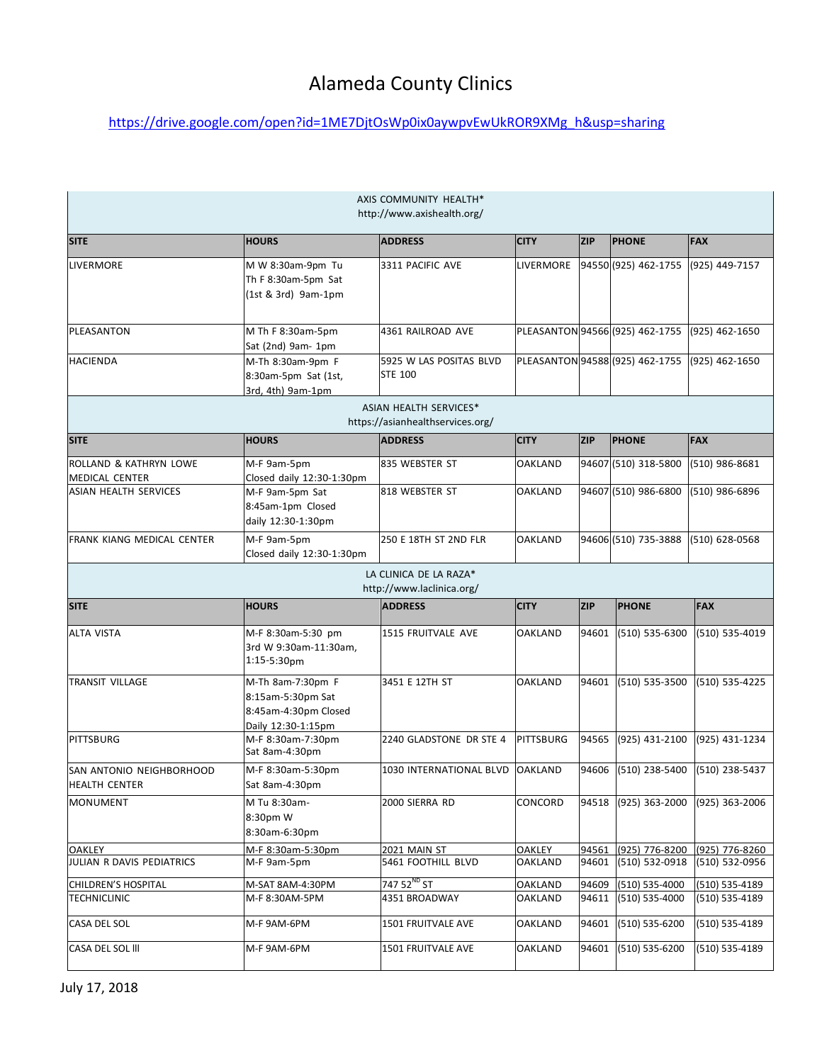## Alameda County Clinics

## [https://drive.google.com/open?id=1ME7DjtOsWp0ix0aywpvEwUkROR9XMg\\_h&usp=sharing](https://drive.google.com/open?id=1ME7DjtOsWp0ix0aywpvEwUkROR9XMg_h&usp=sharing)

| AXIS COMMUNITY HEALTH*<br>http://www.axishealth.org/                            |                                                                                      |                                                                   |                                  |                |                                              |                                  |  |
|---------------------------------------------------------------------------------|--------------------------------------------------------------------------------------|-------------------------------------------------------------------|----------------------------------|----------------|----------------------------------------------|----------------------------------|--|
| <b>SITE</b>                                                                     | <b>HOURS</b>                                                                         | <b>ADDRESS</b>                                                    | <b>CITY</b>                      | <b>ZIP</b>     | <b>PHONE</b>                                 | <b>FAX</b>                       |  |
| LIVERMORE                                                                       | M W 8:30am-9pm Tu<br>Th F 8:30am-5pm Sat<br>(1st & 3rd) 9am-1pm                      | 3311 PACIFIC AVE                                                  | LIVERMORE                        |                | 94550 (925) 462-1755                         | (925) 449-7157                   |  |
| PLEASANTON                                                                      | M Th F 8:30am-5pm<br>Sat (2nd) 9am- 1pm                                              | 4361 RAILROAD AVE                                                 |                                  |                | PLEASANTON 94566 (925) 462-1755              | (925) 462-1650                   |  |
| <b>HACIENDA</b>                                                                 | M-Th 8:30am-9pm F<br>8:30am-5pm Sat (1st,<br>3rd, 4th) 9am-1pm                       | 5925 W LAS POSITAS BLVD<br><b>STE 100</b>                         |                                  |                | PLEASANTON 94588 (925) 462-1755              | (925) 462-1650                   |  |
|                                                                                 |                                                                                      | <b>ASIAN HEALTH SERVICES*</b><br>https://asianhealthservices.org/ |                                  |                |                                              |                                  |  |
| <b>SITE</b>                                                                     | <b>HOURS</b>                                                                         | <b>ADDRESS</b>                                                    | <b>CITY</b>                      | <b>ZIP</b>     | <b>PHONE</b>                                 | <b>FAX</b>                       |  |
| ROLLAND & KATHRYN LOWE<br><b>MEDICAL CENTER</b><br><b>ASIAN HEALTH SERVICES</b> | M-F 9am-5pm<br>Closed daily 12:30-1:30pm<br>M-F 9am-5pm Sat                          | 835 WEBSTER ST<br>818 WEBSTER ST                                  | <b>OAKLAND</b><br><b>OAKLAND</b> |                | 94607 (510) 318-5800<br>94607 (510) 986-6800 | (510) 986-8681<br>(510) 986-6896 |  |
|                                                                                 | 8:45am-1pm Closed<br>daily 12:30-1:30pm                                              |                                                                   |                                  |                |                                              |                                  |  |
| FRANK KIANG MEDICAL CENTER                                                      | M-F 9am-5pm<br>Closed daily 12:30-1:30pm                                             | 250 E 18TH ST 2ND FLR                                             | <b>OAKLAND</b>                   |                | 94606 (510) 735-3888                         | (510) 628-0568                   |  |
| LA CLINICA DE LA RAZA*<br>http://www.laclinica.org/                             |                                                                                      |                                                                   |                                  |                |                                              |                                  |  |
| <b>SITE</b>                                                                     | <b>HOURS</b>                                                                         | <b>ADDRESS</b>                                                    | <b>CITY</b>                      | <b>ZIP</b>     | <b>PHONE</b>                                 | <b>FAX</b>                       |  |
| <b>ALTA VISTA</b>                                                               | M-F 8:30am-5:30 pm<br>3rd W 9:30am-11:30am,<br>$1:15 - 5:30pm$                       | 1515 FRUITVALE AVE                                                | OAKLAND                          | 94601          | (510) 535-6300                               | (510) 535-4019                   |  |
| <b>TRANSIT VILLAGE</b>                                                          | M-Th 8am-7:30pm F<br>8:15am-5:30pm Sat<br>8:45am-4:30pm Closed<br>Daily 12:30-1:15pm | 3451 E 12TH ST                                                    | <b>OAKLAND</b>                   | 94601          | (510) 535-3500                               | (510) 535-4225                   |  |
| <b>PITTSBURG</b>                                                                | M-F 8:30am-7:30pm<br>Sat 8am-4:30pm                                                  | 2240 GLADSTONE DR STE 4                                           | PITTSBURG                        | 94565          | (925) 431-2100                               | (925) 431-1234                   |  |
| SAN ANTONIO NEIGHBORHOOD<br><b>HEALTH CENTER</b>                                | M-F 8:30am-5:30pm<br>Sat 8am-4:30pm                                                  | 1030 INTERNATIONAL BLVD                                           | OAKLAND                          | 94606          | (510) 238-5400                               | (510) 238-5437                   |  |
| <b>MONUMENT</b>                                                                 | M Tu 8:30am-<br>8:30pm W<br>8:30am-6:30pm                                            | 2000 SIERRA RD                                                    | CONCORD                          |                | 94518 (925) 363-2000                         | (925) 363-2006                   |  |
| <b>OAKLEY</b>                                                                   | M-F 8:30am-5:30pm                                                                    | 2021 MAIN ST                                                      | <b>OAKLEY</b>                    | 94561          | (925) 776-8200                               | (925) 776-8260                   |  |
| JULIAN R DAVIS PEDIATRICS                                                       | M-F 9am-5pm                                                                          | 5461 FOOTHILL BLVD                                                | <b>OAKLAND</b>                   | 94601          | (510) 532-0918                               | (510) 532-0956                   |  |
| CHILDREN'S HOSPITAL                                                             | M-SAT 8AM-4:30PM                                                                     | 747 52 <sup>ND</sup> ST                                           | OAKLAND                          | 94609          | (510) 535-4000                               | (510) 535-4189                   |  |
| <b>TECHNICLINIC</b>                                                             | M-F 8:30AM-5PM                                                                       | 4351 BROADWAY                                                     | OAKLAND                          | 94611          | (510) 535-4000                               | (510) 535-4189                   |  |
| CASA DEL SOL<br>CASA DEL SOL III                                                | M-F 9AM-6PM<br>M-F 9AM-6PM                                                           | 1501 FRUITVALE AVE<br>1501 FRUITVALE AVE                          | OAKLAND<br>OAKLAND               | 94601<br>94601 | (510) 535-6200<br>(510) 535-6200             | (510) 535-4189<br>(510) 535-4189 |  |
|                                                                                 |                                                                                      |                                                                   |                                  |                |                                              |                                  |  |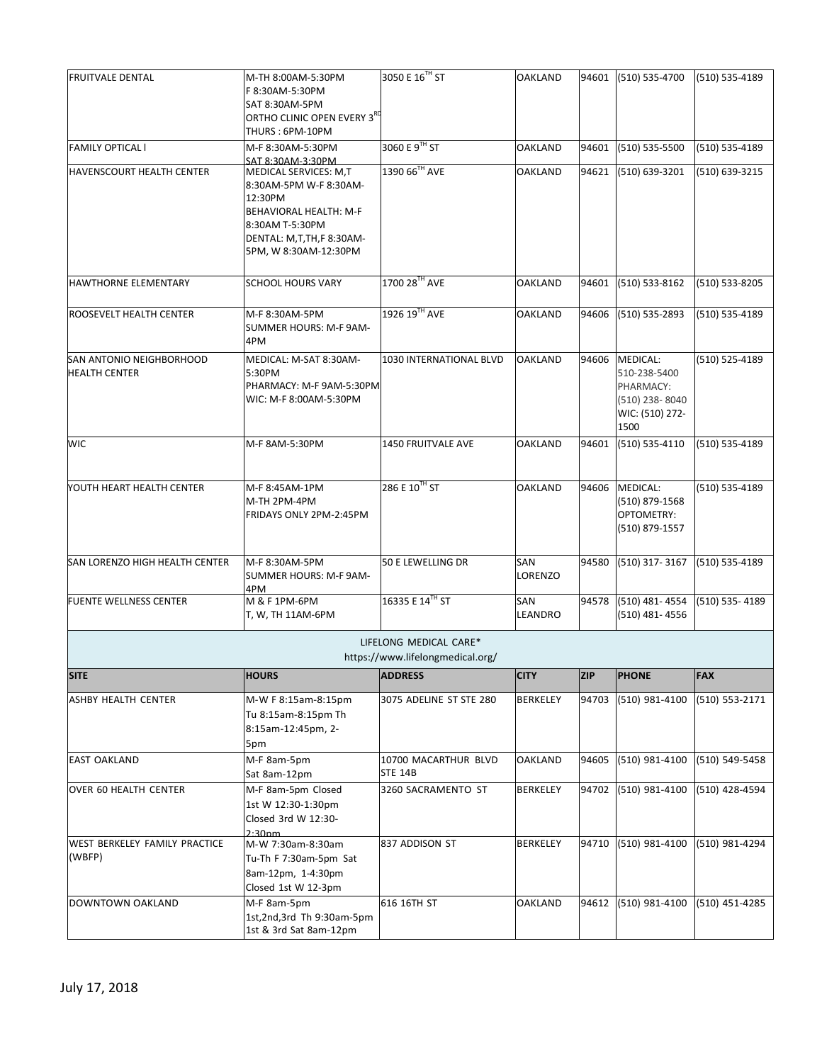| <b>FRUITVALE DENTAL</b>                          | M-TH 8:00AM-5:30PM<br>F 8:30AM-5:30PM<br>SAT 8:30AM-5PM<br>ORTHO CLINIC OPEN EVERY 3 <sup>RD</sup><br>THURS: 6PM-10PM                                        | 3050 E 16 <sup>TH</sup> ST                                 | <b>OAKLAND</b>  |            | 94601 (510) 535-4700                                                                     | (510) 535-4189 |
|--------------------------------------------------|--------------------------------------------------------------------------------------------------------------------------------------------------------------|------------------------------------------------------------|-----------------|------------|------------------------------------------------------------------------------------------|----------------|
| <b>FAMILY OPTICAL I</b>                          | M-F 8:30AM-5:30PM<br>SAT 8:30AM-3:30PM                                                                                                                       | 3060 E 9TH ST                                              | <b>OAKLAND</b>  | 94601      | (510) 535-5500                                                                           | (510) 535-4189 |
| <b>HAVENSCOURT HEALTH CENTER</b>                 | MEDICAL SERVICES: M,T<br>8:30AM-5PM W-F 8:30AM-<br>12:30PM<br>BEHAVIORAL HEALTH: M-F<br>8:30AM T-5:30PM<br>DENTAL: M,T,TH,F 8:30AM-<br>5PM, W 8:30AM-12:30PM | 1390 66TH AVE                                              | <b>OAKLAND</b>  | 94621      | (510) 639-3201                                                                           | (510) 639-3215 |
| <b>HAWTHORNE ELEMENTARY</b>                      | <b>SCHOOL HOURS VARY</b>                                                                                                                                     | 1700 28TH AVE                                              | <b>OAKLAND</b>  | 94601      | (510) 533-8162                                                                           | (510) 533-8205 |
| <b>ROOSEVELT HEALTH CENTER</b>                   | M-F 8:30AM-5PM<br>SUMMER HOURS: M-F 9AM-<br>4PM                                                                                                              | 1926 19TH AVE                                              | <b>OAKLAND</b>  |            | 94606 (510) 535-2893                                                                     | (510) 535-4189 |
| SAN ANTONIO NEIGHBORHOOD<br><b>HEALTH CENTER</b> | MEDICAL: M-SAT 8:30AM-<br>5:30PM<br>PHARMACY: M-F 9AM-5:30PM<br>WIC: M-F 8:00AM-5:30PM                                                                       | 1030 INTERNATIONAL BLVD                                    | <b>OAKLAND</b>  |            | 94606 MEDICAL:<br>510-238-5400<br>PHARMACY:<br>(510) 238-8040<br>WIC: (510) 272-<br>1500 | (510) 525-4189 |
| <b>WIC</b>                                       | M-F 8AM-5:30PM                                                                                                                                               | <b>1450 FRUITVALE AVE</b>                                  | <b>OAKLAND</b>  | 94601      | (510) 535-4110                                                                           | (510) 535-4189 |
| <b>NOUTH HEART HEALTH CENTER</b>                 | M-F 8:45AM-1PM<br>M-TH 2PM-4PM<br>FRIDAYS ONLY 2PM-2:45PM                                                                                                    | 286 E 10 <sup>™</sup> ST                                   | <b>OAKLAND</b>  |            | 94606 MEDICAL:<br>(510) 879-1568<br>OPTOMETRY:<br>(510) 879-1557                         | (510) 535-4189 |
| SAN LORENZO HIGH HEALTH CENTER                   | M-F 8:30AM-5PM<br>SUMMER HOURS: M-F 9AM-<br>4PM                                                                                                              | 50 E LEWELLING DR                                          | SAN<br>LORENZO  | 94580      | (510) 317-3167                                                                           | (510) 535-4189 |
| <b>FUENTE WELLNESS CENTER</b>                    | M & F 1PM-6PM<br>T, W, TH 11AM-6PM                                                                                                                           | 16335 E 14TH ST                                            | SAN<br>LEANDRO  | 94578      | (510) 481-4554<br>$(510)$ 481-4556                                                       | (510) 535-4189 |
|                                                  |                                                                                                                                                              | LIFELONG MEDICAL CARE*<br>https://www.lifelongmedical.org/ |                 |            |                                                                                          |                |
| <b>SITE</b>                                      | <b>HOURS</b>                                                                                                                                                 | <b>ADDRESS</b>                                             | <b>CITY</b>     | <b>ZIP</b> | <b>PHONE</b>                                                                             | <b>FAX</b>     |
| ASHBY HEALTH CENTER                              | M-W F 8:15am-8:15pm<br>Tu 8:15am-8:15pm Th<br>8:15am-12:45pm, 2-<br>5pm                                                                                      | 3075 ADELINE ST STE 280                                    | <b>BERKELEY</b> | 94703      | (510) 981-4100                                                                           | (510) 553-2171 |
| <b>EAST OAKLAND</b>                              | M-F 8am-5pm<br>Sat 8am-12pm                                                                                                                                  | 10700 MACARTHUR BLVD<br><b>STE 14B</b>                     | OAKLAND         | 94605      | (510) 981-4100                                                                           | (510) 549-5458 |
| OVER 60 HEALTH CENTER                            | M-F 8am-5pm Closed<br>1st W 12:30-1:30pm<br>Closed 3rd W 12:30-<br>2:30nm                                                                                    | 3260 SACRAMENTO ST                                         | <b>BERKELEY</b> |            | 94702 (510) 981-4100                                                                     | (510) 428-4594 |
| <b>WEST BERKELEY FAMILY PRACTICE</b><br>(WBFP)   | M-W 7:30am-8:30am<br>Tu-Th F 7:30am-5pm Sat<br>8am-12pm, 1-4:30pm<br>Closed 1st W 12-3pm                                                                     | 837 ADDISON ST                                             | <b>BERKELEY</b> | 94710      | (510) 981-4100                                                                           | (510) 981-4294 |
| DOWNTOWN OAKLAND                                 | M-F 8am-5pm<br>1st,2nd,3rd Th 9:30am-5pm<br>1st & 3rd Sat 8am-12pm                                                                                           | 616 16TH ST                                                | <b>OAKLAND</b>  | 94612      | (510) 981-4100                                                                           | (510) 451-4285 |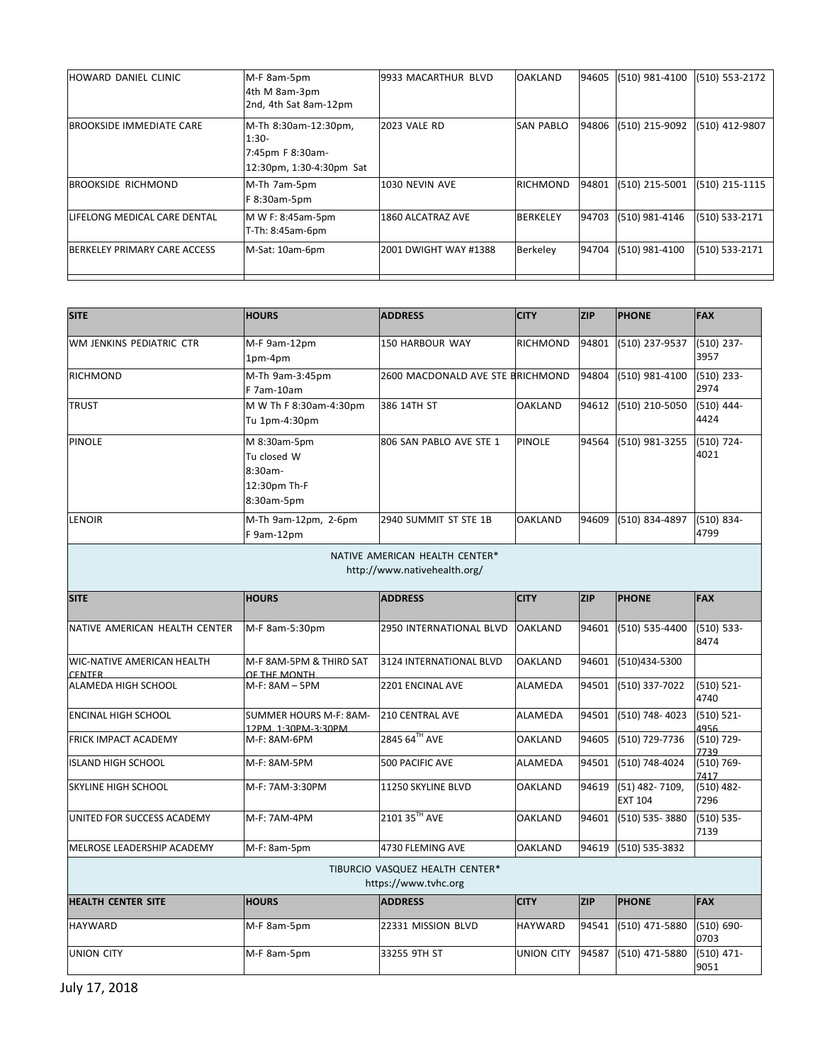| <b>HOWARD DANIEL CLINIC</b>     | M-F 8am-5pm<br>4th M 8am-3pm<br>2nd, 4th Sat 8am-12pm                           | 9933 MACARTHUR BLVD          | <b>OAKLAND</b>   |       | 94605 (510) 981-4100 | (510) 553-2172 |
|---------------------------------|---------------------------------------------------------------------------------|------------------------------|------------------|-------|----------------------|----------------|
| <b>BROOKSIDE IMMEDIATE CARE</b> | M-Th 8:30am-12:30pm,<br>$1:30-$<br>7:45pm F 8:30am-<br>12:30pm, 1:30-4:30pm Sat | <b>2023 VALE RD</b>          | <b>SAN PABLO</b> |       | 94806 (510) 215-9092 | (510) 412-9807 |
| <b>BROOKSIDE RICHMOND</b>       | M-Th 7am-5pm<br>F 8:30am-5pm                                                    | 1030 NEVIN AVE               | <b>RICHMOND</b>  | 94801 | (510) 215-5001       | (510) 215-1115 |
| LIFELONG MEDICAL CARE DENTAL    | M W F: 8:45am-5pm<br>T-Th: 8:45am-6pm                                           | 1860 ALCATRAZ AVE            | <b>BERKELEY</b>  | 94703 | (510) 981-4146       | (510) 533-2171 |
| BERKELEY PRIMARY CARE ACCESS    | M-Sat: 10am-6pm                                                                 | <b>2001 DWIGHT WAY #1388</b> | Berkeley         |       | 94704 (510) 981-4100 | (510) 533-2171 |

| <b>SITE</b>                                                    | <b>HOURS</b>                                                         | <b>ADDRESS</b>                                          | <b>CITY</b>       | <b>ZIP</b> | <b>PHONE</b>                     | <b>FAX</b>            |  |  |
|----------------------------------------------------------------|----------------------------------------------------------------------|---------------------------------------------------------|-------------------|------------|----------------------------------|-----------------------|--|--|
| WM JENKINS PEDIATRIC CTR                                       | M-F 9am-12pm<br>1pm-4pm                                              | 150 HARBOUR WAY                                         | <b>RICHMOND</b>   | 94801      | (510) 237-9537                   | $(510)$ 237-<br>3957  |  |  |
| <b>RICHMOND</b>                                                | M-Th 9am-3:45pm<br>F 7am-10am                                        | 2600 MACDONALD AVE STE BRICHMOND                        |                   | 94804      | (510) 981-4100                   | $(510)$ 233-<br>2974  |  |  |
| <b>TRUST</b>                                                   | M W Th F 8:30am-4:30pm<br>Tu 1pm-4:30pm                              | 386 14TH ST                                             | <b>OAKLAND</b>    | 94612      | (510) 210-5050                   | $(510)$ 444-<br>4424  |  |  |
| PINOLE                                                         | M 8:30am-5pm<br>Tu closed W<br>8:30am-<br>12:30pm Th-F<br>8:30am-5pm | 806 SAN PABLO AVE STE 1                                 | <b>PINOLE</b>     | 94564      | (510) 981-3255                   | $(510)$ 724-<br>4021  |  |  |
| LENOIR                                                         | M-Th 9am-12pm, 2-6pm<br>F 9am-12pm                                   | 2940 SUMMIT ST STE 1B                                   | <b>OAKLAND</b>    | 94609      | (510) 834-4897                   | $(510) 834 -$<br>4799 |  |  |
| NATIVE AMERICAN HEALTH CENTER*<br>http://www.nativehealth.org/ |                                                                      |                                                         |                   |            |                                  |                       |  |  |
| <b>SITE</b>                                                    | <b>HOURS</b>                                                         | <b>ADDRESS</b>                                          | <b>CITY</b>       | <b>ZIP</b> | <b>PHONE</b>                     | <b>FAX</b>            |  |  |
| NATIVE AMERICAN HEALTH CENTER                                  | M-F 8am-5:30pm                                                       | 2950 INTERNATIONAL BLVD                                 | <b>OAKLAND</b>    | 94601      | (510) 535-4400                   | $(510) 533 -$<br>8474 |  |  |
| <b>WIC-NATIVE AMERICAN HEALTH</b><br><b>CENTER</b>             | M-F 8AM-5PM & THIRD SAT<br>OF THE MONTH                              | 3124 INTERNATIONAL BLVD                                 | <b>OAKLAND</b>    | 94601      | (510)434-5300                    |                       |  |  |
| ALAMEDA HIGH SCHOOL                                            | M-F: 8AM - 5PM                                                       | 2201 ENCINAL AVE                                        | ALAMEDA           | 94501      | (510) 337-7022                   | $(510) 521 -$<br>4740 |  |  |
| <b>ENCINAL HIGH SCHOOL</b>                                     | SUMMER HOURS M-F: 8AM-<br>12PM. 1:30PM-3:30PM                        | <b>210 CENTRAL AVE</b>                                  | ALAMEDA           | 94501      | (510) 748-4023                   | $(510) 521 -$<br>4956 |  |  |
| <b>FRICK IMPACT ACADEMY</b>                                    | M-F: 8AM-6PM                                                         | 2845 64TH AVE                                           | <b>OAKLAND</b>    | 94605      | (510) 729-7736                   | (510) 729-<br>7739    |  |  |
| <b>ISLAND HIGH SCHOOL</b>                                      | M-F: 8AM-5PM                                                         | 500 PACIFIC AVE                                         | <b>ALAMEDA</b>    | 94501      | (510) 748-4024                   | $(510) 769 -$<br>7417 |  |  |
| SKYLINE HIGH SCHOOL                                            | M-F: 7AM-3:30PM                                                      | 11250 SKYLINE BLVD                                      | OAKLAND           | 94619      | (51) 482-7109,<br><b>EXT 104</b> | $(510)$ 482-<br>7296  |  |  |
| UNITED FOR SUCCESS ACADEMY                                     | M-F: 7AM-4PM                                                         | 2101 35TH AVE                                           | <b>OAKLAND</b>    | 94601      | (510) 535-3880                   | $(510) 535 -$<br>7139 |  |  |
| MELROSE LEADERSHIP ACADEMY                                     | M-F: 8am-5pm                                                         | 4730 FLEMING AVE                                        | <b>OAKLAND</b>    | 94619      | (510) 535-3832                   |                       |  |  |
|                                                                |                                                                      | TIBURCIO VASQUEZ HEALTH CENTER*<br>https://www.tvhc.org |                   |            |                                  |                       |  |  |
| <b>HEALTH CENTER SITE</b>                                      | <b>HOURS</b>                                                         | <b>ADDRESS</b>                                          | <b>CITY</b>       | <b>ZIP</b> | <b>PHONE</b>                     | <b>FAX</b>            |  |  |
| <b>HAYWARD</b>                                                 | M-F 8am-5pm                                                          | 22331 MISSION BLVD                                      | <b>HAYWARD</b>    | 94541      | (510) 471-5880                   | $(510) 690 -$<br>0703 |  |  |
| <b>UNION CITY</b>                                              | M-F 8am-5pm                                                          | 33255 9TH ST                                            | <b>UNION CITY</b> | 94587      | (510) 471-5880                   | $(510)$ 471-<br>9051  |  |  |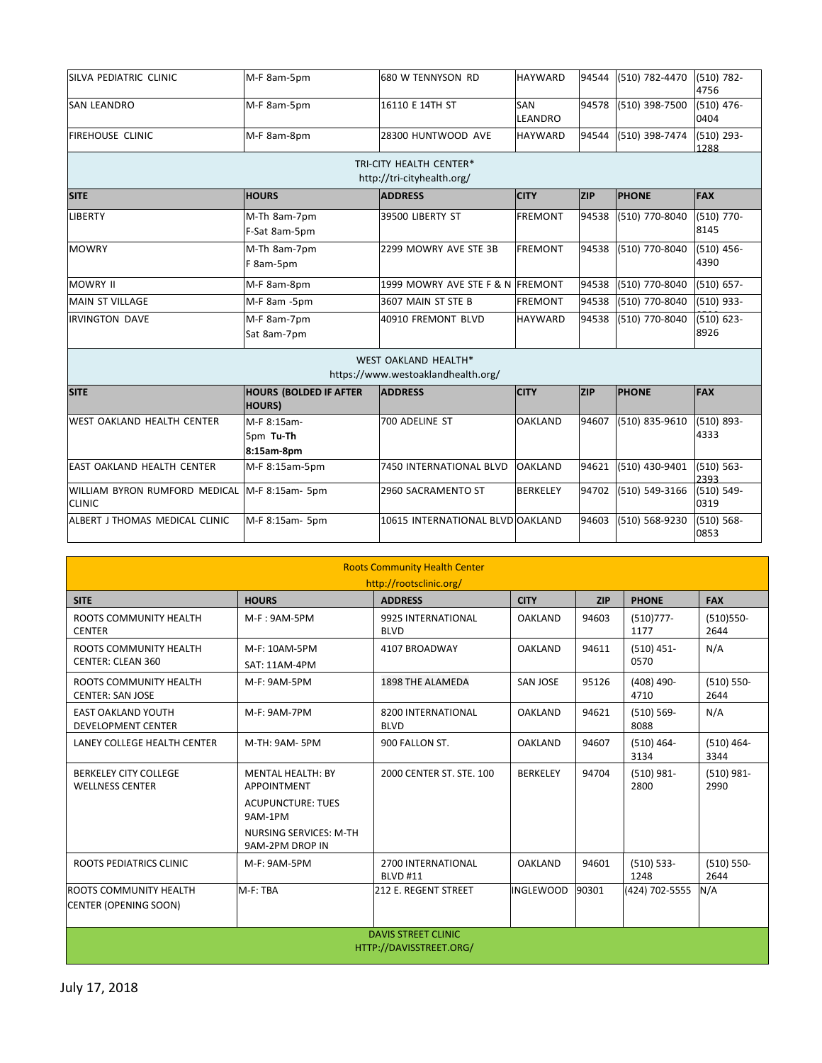| SILVA PEDIATRIC CLINIC                         | M-F 8am-5pm                                     | 680 W TENNYSON RD                                                 | <b>HAYWARD</b>        | 94544      | (510) 782-4470 | $(510)$ 782-<br>4756  |
|------------------------------------------------|-------------------------------------------------|-------------------------------------------------------------------|-----------------------|------------|----------------|-----------------------|
| <b>SAN LEANDRO</b>                             | M-F 8am-5pm                                     | 16110 E 14TH ST                                                   | <b>SAN</b><br>LEANDRO | 94578      | (510) 398-7500 | $(510)$ 476-<br>0404  |
| <b>FIREHOUSE CLINIC</b>                        | M-F 8am-8pm                                     | 28300 HUNTWOOD AVE                                                | <b>HAYWARD</b>        | 94544      | (510) 398-7474 | $(510)$ 293-<br>1288  |
|                                                |                                                 | TRI-CITY HEALTH CENTER*<br>http://tri-cityhealth.org/             |                       |            |                |                       |
| <b>SITE</b>                                    | <b>HOURS</b>                                    | <b>ADDRESS</b>                                                    | <b>CITY</b>           | <b>ZIP</b> | <b>PHONE</b>   | <b>FAX</b>            |
| <b>LIBERTY</b>                                 | M-Th 8am-7pm<br>F-Sat 8am-5pm                   | 39500 LIBERTY ST                                                  | <b>FREMONT</b>        | 94538      | (510) 770-8040 | $(510)$ 770-<br>8145  |
| <b>MOWRY</b>                                   | M-Th 8am-7pm<br>F 8am-5pm                       | 2299 MOWRY AVE STE 3B                                             | <b>FREMONT</b>        | 94538      | (510) 770-8040 | $(510)$ 456-<br>4390  |
| <b>MOWRY II</b>                                | M-F 8am-8pm                                     | 1999 MOWRY AVE STE F & N FREMONT                                  |                       | 94538      | (510) 770-8040 | $(510) 657 -$         |
| <b>MAIN ST VILLAGE</b>                         | M-F 8am -5pm                                    | 3607 MAIN ST STE B                                                | <b>FREMONT</b>        | 94538      | (510) 770-8040 | $(510)$ 933-          |
| <b>IRVINGTON DAVE</b>                          | M-F 8am-7pm<br>Sat 8am-7pm                      | 40910 FREMONT BLVD                                                | <b>HAYWARD</b>        | 94538      | (510) 770-8040 | $(510) 623 -$<br>8926 |
|                                                |                                                 | <b>WEST OAKLAND HEALTH*</b><br>https://www.westoaklandhealth.org/ |                       |            |                |                       |
| <b>SITE</b>                                    | <b>HOURS (BOLDED IF AFTER</b><br><b>HOURS</b> ) | <b>ADDRESS</b>                                                    | <b>CITY</b>           | <b>ZIP</b> | <b>PHONE</b>   | <b>FAX</b>            |
| <b>WEST OAKLAND HEALTH CENTER</b>              | M-F 8:15am-<br>5pm Tu-Th<br>8:15am-8pm          | 700 ADELINE ST                                                    | <b>OAKLAND</b>        | 94607      | (510) 835-9610 | $(510) 893 -$<br>4333 |
| <b>EAST OAKLAND HEALTH CENTER</b>              | M-F 8:15am-5pm                                  | 7450 INTERNATIONAL BLVD                                           | <b>OAKLAND</b>        | 94621      | (510) 430-9401 | $(510) 563 -$<br>2393 |
| WILLIAM BYRON RUMFORD MEDICAL<br><b>CLINIC</b> | M-F 8:15am- 5pm                                 | 2960 SACRAMENTO ST                                                | <b>BERKELEY</b>       | 94702      | (510) 549-3166 | $(510) 549 -$<br>0319 |
| ALBERT J THOMAS MEDICAL CLINIC                 | M-F 8:15am- 5pm                                 | 10615 INTERNATIONAL BLVD OAKLAND                                  |                       | 94603      | (510) 568-9230 | $(510) 568 -$<br>0853 |

| <b>Roots Community Health Center</b><br>http://rootsclinic.org/ |                                           |                                       |                  |            |                       |                       |  |
|-----------------------------------------------------------------|-------------------------------------------|---------------------------------------|------------------|------------|-----------------------|-----------------------|--|
| <b>SITE</b>                                                     | <b>HOURS</b>                              | <b>ADDRESS</b>                        | <b>CITY</b>      | <b>ZIP</b> | <b>PHONE</b>          | <b>FAX</b>            |  |
| ROOTS COMMUNITY HEALTH<br><b>CENTER</b>                         | $M-F$ : 9AM-5PM                           | 9925 INTERNATIONAL<br><b>BLVD</b>     | <b>OAKLAND</b>   | 94603      | $(510)777 -$<br>1177  | $(510)550 -$<br>2644  |  |
| ROOTS COMMUNITY HEALTH<br><b>CENTER: CLEAN 360</b>              | M-F: 10AM-5PM<br>SAT: 11AM-4PM            | 4107 BROADWAY                         | <b>OAKLAND</b>   | 94611      | $(510)$ 451-<br>0570  | N/A                   |  |
| ROOTS COMMUNITY HEALTH<br><b>CENTER: SAN JOSE</b>               | M-F: 9AM-5PM                              | 1898 THE ALAMEDA                      | <b>SAN JOSE</b>  | 95126      | $(408)$ 490-<br>4710  | $(510) 550 -$<br>2644 |  |
| <b>EAST OAKLAND YOUTH</b><br><b>DEVELOPMENT CENTER</b>          | M-F: 9AM-7PM                              | 8200 INTERNATIONAL<br><b>BLVD</b>     | <b>OAKLAND</b>   | 94621      | $(510) 569 -$<br>8088 | N/A                   |  |
| LANEY COLLEGE HEALTH CENTER                                     | M-TH: 9AM- 5PM                            | 900 FALLON ST.                        | <b>OAKLAND</b>   | 94607      | $(510)$ 464-<br>3134  | $(510)$ 464-<br>3344  |  |
| <b>BERKELEY CITY COLLEGE</b><br><b>WELLNESS CENTER</b>          | <b>MENTAL HEALTH: BY</b><br>APPOINTMENT   | 2000 CENTER ST. STE. 100              | <b>BERKELEY</b>  | 94704      | $(510)$ 981-<br>2800  | $(510)$ 981-<br>2990  |  |
|                                                                 | <b>ACUPUNCTURE: TUES</b><br>9AM-1PM       |                                       |                  |            |                       |                       |  |
|                                                                 | NURSING SERVICES: M-TH<br>9AM-2PM DROP IN |                                       |                  |            |                       |                       |  |
| ROOTS PEDIATRICS CLINIC                                         | M-F: 9AM-5PM                              | 2700 INTERNATIONAL<br><b>BLVD #11</b> | <b>OAKLAND</b>   | 94601      | $(510) 533 -$<br>1248 | $(510) 550 -$<br>2644 |  |
| <b>ROOTS COMMUNITY HEALTH</b>                                   | M-F: TBA                                  | 212 E. REGENT STREET                  | <b>INGLEWOOD</b> | 90301      | (424) 702-5555        | N/A                   |  |
| <b>CENTER (OPENING SOON)</b>                                    |                                           |                                       |                  |            |                       |                       |  |
| <b>DAVIS STREET CLINIC</b><br>HTTP://DAVISSTREET.ORG/           |                                           |                                       |                  |            |                       |                       |  |